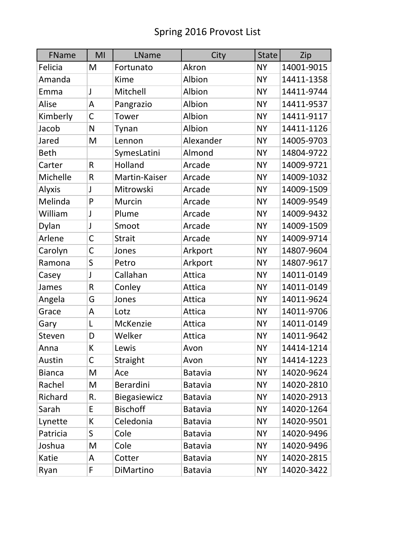| FName         | MI           | LName               | City           | <b>State</b> | Zip        |
|---------------|--------------|---------------------|----------------|--------------|------------|
| Felicia       | M            | Fortunato           | Akron          | <b>NY</b>    | 14001-9015 |
| Amanda        |              | Kime                | Albion         | <b>NY</b>    | 14411-1358 |
| Emma          | J            | Mitchell            | Albion         | <b>NY</b>    | 14411-9744 |
| Alise         | A            | Pangrazio           | Albion         | <b>NY</b>    | 14411-9537 |
| Kimberly      | $\mathsf C$  | Tower               | Albion         | <b>NY</b>    | 14411-9117 |
| Jacob         | N            | Tynan               | Albion         | <b>NY</b>    | 14411-1126 |
| Jared         | M            | Lennon              | Alexander      | <b>NY</b>    | 14005-9703 |
| <b>Beth</b>   |              | SymesLatini         | Almond         | <b>NY</b>    | 14804-9722 |
| Carter        | R            | Holland             | Arcade         | <b>NY</b>    | 14009-9721 |
| Michelle      | R            | Martin-Kaiser       | Arcade         | <b>NY</b>    | 14009-1032 |
| Alyxis        | J            | Mitrowski           | Arcade         | <b>NY</b>    | 14009-1509 |
| Melinda       | P            | Murcin              | Arcade         | <b>NY</b>    | 14009-9549 |
| William       | J            | Plume               | Arcade         | <b>NY</b>    | 14009-9432 |
| Dylan         | J            | Smoot               | Arcade         | <b>NY</b>    | 14009-1509 |
| Arlene        | $\mathsf{C}$ | <b>Strait</b>       | Arcade         | <b>NY</b>    | 14009-9714 |
| Carolyn       | C            | Jones               | Arkport        | <b>NY</b>    | 14807-9604 |
| Ramona        | S            | Petro               | Arkport        | <b>NY</b>    | 14807-9617 |
| Casey         | J            | Callahan            | Attica         | <b>NY</b>    | 14011-0149 |
| James         | $\mathsf R$  | Conley              | Attica         | <b>NY</b>    | 14011-0149 |
| Angela        | G            | Jones               | Attica         | <b>NY</b>    | 14011-9624 |
| Grace         | A            | Lotz                | Attica         | <b>NY</b>    | 14011-9706 |
| Gary          | L            | McKenzie            | Attica         | <b>NY</b>    | 14011-0149 |
| Steven        | D            | Welker              | Attica         | <b>NY</b>    | 14011-9642 |
| Anna          | К            | Lewis               | Avon           | <b>NY</b>    | 14414-1214 |
| Austin        | C            | Straight            | Avon           | <b>NY</b>    | 14414-1223 |
| <b>Bianca</b> | M            | Ace                 | <b>Batavia</b> | <b>NY</b>    | 14020-9624 |
| Rachel        | M            | <b>Berardini</b>    | <b>Batavia</b> | <b>NY</b>    | 14020-2810 |
| Richard       | R.           | <b>Biegasiewicz</b> | Batavia        | <b>NY</b>    | 14020-2913 |
| Sarah         | E            | <b>Bischoff</b>     | <b>Batavia</b> | <b>NY</b>    | 14020-1264 |
| Lynette       | К            | Celedonia           | <b>Batavia</b> | <b>NY</b>    | 14020-9501 |
| Patricia      | S            | Cole                | <b>Batavia</b> | <b>NY</b>    | 14020-9496 |
| Joshua        | M            | Cole                | <b>Batavia</b> | <b>NY</b>    | 14020-9496 |
| Katie         | A            | Cotter              | <b>Batavia</b> | <b>NY</b>    | 14020-2815 |
| Ryan          | F            | DiMartino           | <b>Batavia</b> | <b>NY</b>    | 14020-3422 |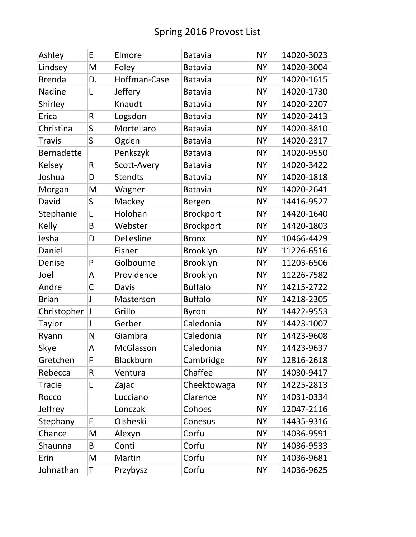| Ashley            | E  | Elmore           | <b>Batavia</b>   | <b>NY</b> | 14020-3023 |
|-------------------|----|------------------|------------------|-----------|------------|
| Lindsey           | M  | Foley            | <b>Batavia</b>   | <b>NY</b> | 14020-3004 |
| <b>Brenda</b>     | D. | Hoffman-Case     | <b>Batavia</b>   | <b>NY</b> | 14020-1615 |
| Nadine            | L  | Jeffery          | <b>Batavia</b>   | <b>NY</b> | 14020-1730 |
| Shirley           |    | Knaudt           | <b>Batavia</b>   | <b>NY</b> | 14020-2207 |
| Erica             | R  | Logsdon          | <b>Batavia</b>   | <b>NY</b> | 14020-2413 |
| Christina         | S  | Mortellaro       | <b>Batavia</b>   | <b>NY</b> | 14020-3810 |
| <b>Travis</b>     | S  | Ogden            | <b>Batavia</b>   | <b>NY</b> | 14020-2317 |
| <b>Bernadette</b> |    | Penkszyk         | <b>Batavia</b>   | <b>NY</b> | 14020-9550 |
| Kelsey            | R  | Scott-Avery      | <b>Batavia</b>   | <b>NY</b> | 14020-3422 |
| Joshua            | D  | <b>Stendts</b>   | <b>Batavia</b>   | <b>NY</b> | 14020-1818 |
| Morgan            | M  | Wagner           | <b>Batavia</b>   | <b>NY</b> | 14020-2641 |
| David             | S  | Mackey           | Bergen           | <b>NY</b> | 14416-9527 |
| Stephanie         | L  | Holohan          | Brockport        | <b>NY</b> | 14420-1640 |
| Kelly             | B  | Webster          | <b>Brockport</b> | <b>NY</b> | 14420-1803 |
| lesha             | D  | DeLesline        | <b>Bronx</b>     | <b>NY</b> | 10466-4429 |
| Daniel            |    | Fisher           | Brooklyn         | <b>NY</b> | 11226-6516 |
| Denise            | P  | Golbourne        | Brooklyn         | <b>NY</b> | 11203-6506 |
| Joel              | A  | Providence       | Brooklyn         | <b>NY</b> | 11226-7582 |
| Andre             | C  | <b>Davis</b>     | <b>Buffalo</b>   | <b>NY</b> | 14215-2722 |
| <b>Brian</b>      | J  | Masterson        | <b>Buffalo</b>   | <b>NY</b> | 14218-2305 |
| Christopher       |    | Grillo           | <b>Byron</b>     | <b>NY</b> | 14422-9553 |
| Taylor            | J  | Gerber           | Caledonia        | <b>NY</b> | 14423-1007 |
| Ryann             | N  | Giambra          | Caledonia        | <b>NY</b> | 14423-9608 |
| Skye              | Α  | McGlasson        | Caledonia        | <b>NY</b> | 14423-9637 |
| Gretchen          | F  | <b>Blackburn</b> | Cambridge        | <b>NY</b> | 12816-2618 |
| Rebecca           | R  | Ventura          | Chaffee          | <b>NY</b> | 14030-9417 |
| <b>Tracie</b>     | L  | Zajac            | Cheektowaga      | <b>NY</b> | 14225-2813 |
| Rocco             |    | Lucciano         | Clarence         | <b>NY</b> | 14031-0334 |
| Jeffrey           |    | Lonczak          | Cohoes           | <b>NY</b> | 12047-2116 |
| Stephany          | E  | Olsheski         | Conesus          | <b>NY</b> | 14435-9316 |
| Chance            | M  | Alexyn           | Corfu            | <b>NY</b> | 14036-9591 |
| Shaunna           | B  | Conti            | Corfu            | <b>NY</b> | 14036-9533 |
| Erin              | M  | Martin           | Corfu            | <b>NY</b> | 14036-9681 |
| Johnathan         | Τ  | Przybysz         | Corfu            | <b>NY</b> | 14036-9625 |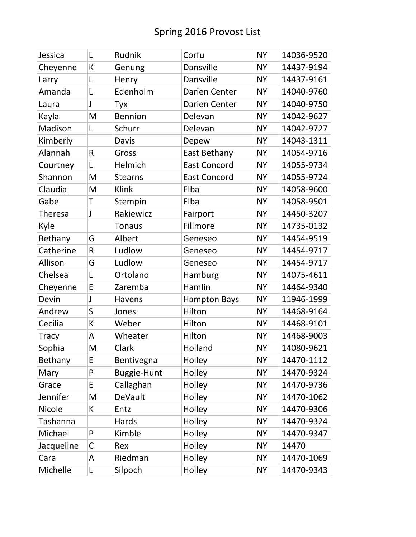| Jessica        | L            | Rudnik         | Corfu               | <b>NY</b> | 14036-9520 |
|----------------|--------------|----------------|---------------------|-----------|------------|
| Cheyenne       | К            | Genung         | Dansville           | <b>NY</b> | 14437-9194 |
| Larry          | L            | Henry          | Dansville           | <b>NY</b> | 14437-9161 |
| Amanda         | L            | Edenholm       | Darien Center       | <b>NY</b> | 14040-9760 |
| Laura          | $\mathsf{l}$ | Tyx            | Darien Center       | <b>NY</b> | 14040-9750 |
| Kayla          | M            | <b>Bennion</b> | Delevan             | <b>NY</b> | 14042-9627 |
| Madison        | L            | Schurr         | Delevan             | <b>NY</b> | 14042-9727 |
| Kimberly       |              | <b>Davis</b>   | Depew               | <b>NY</b> | 14043-1311 |
| Alannah        | R            | Gross          | East Bethany        | <b>NY</b> | 14054-9716 |
| Courtney       | L            | Helmich        | <b>East Concord</b> | <b>NY</b> | 14055-9734 |
| Shannon        | M            | <b>Stearns</b> | <b>East Concord</b> | <b>NY</b> | 14055-9724 |
| Claudia        | M            | Klink          | Elba                | <b>NY</b> | 14058-9600 |
| Gabe           | T            | Stempin        | Elba                | <b>NY</b> | 14058-9501 |
| <b>Theresa</b> | J            | Rakiewicz      | Fairport            | <b>NY</b> | 14450-3207 |
| Kyle           |              | <b>Tonaus</b>  | Fillmore            | <b>NY</b> | 14735-0132 |
| Bethany        | G            | Albert         | Geneseo             | <b>NY</b> | 14454-9519 |
| Catherine      | R            | Ludlow         | Geneseo             | <b>NY</b> | 14454-9717 |
| Allison        | G            | Ludlow         | Geneseo             | <b>NY</b> | 14454-9717 |
| Chelsea        | L            | Ortolano       | Hamburg             | <b>NY</b> | 14075-4611 |
| Cheyenne       | E            | Zaremba        | Hamlin              | <b>NY</b> | 14464-9340 |
| Devin          | $\mathsf{l}$ | Havens         | <b>Hampton Bays</b> | <b>NY</b> | 11946-1999 |
| Andrew         | S            | Jones          | Hilton              | <b>NY</b> | 14468-9164 |
| Cecilia        | К            | Weber          | Hilton              | <b>NY</b> | 14468-9101 |
| <b>Tracy</b>   | A            | Wheater        | Hilton              | <b>NY</b> | 14468-9003 |
| Sophia         | M            | Clark          | Holland             | <b>NY</b> | 14080-9621 |
| Bethany        | E            | Bentivegna     | Holley              | <b>NY</b> | 14470-1112 |
| Mary           | P            | Buggie-Hunt    | Holley              | <b>NY</b> | 14470-9324 |
| Grace          | E            | Callaghan      | Holley              | <b>NY</b> | 14470-9736 |
| Jennifer       | M            | DeVault        | Holley              | <b>NY</b> | 14470-1062 |
| <b>Nicole</b>  | K            | Entz           | Holley              | <b>NY</b> | 14470-9306 |
| Tashanna       |              | Hards          | Holley              | <b>NY</b> | 14470-9324 |
| Michael        | P            | Kimble         | Holley              | <b>NY</b> | 14470-9347 |
| Jacqueline     | C            | Rex            | Holley              | <b>NY</b> | 14470      |
| Cara           | A            | Riedman        | Holley              | <b>NY</b> | 14470-1069 |
| Michelle       | L            | Silpoch        | Holley              | <b>NY</b> | 14470-9343 |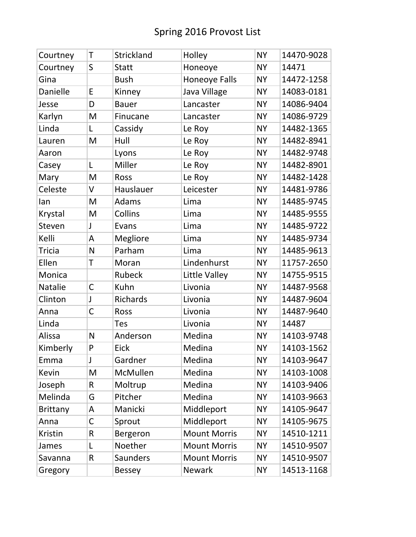| Courtney        | T            | Strickland      | Holley               | <b>NY</b> | 14470-9028 |
|-----------------|--------------|-----------------|----------------------|-----------|------------|
| Courtney        | S            | <b>Statt</b>    | Honeoye              | <b>NY</b> | 14471      |
| Gina            |              | <b>Bush</b>     | <b>Honeoye Falls</b> | <b>NY</b> | 14472-1258 |
| Danielle        | E            | Kinney          | Java Village         | <b>NY</b> | 14083-0181 |
| Jesse           | D            | <b>Bauer</b>    | Lancaster            | <b>NY</b> | 14086-9404 |
| Karlyn          | M            | Finucane        | Lancaster            | <b>NY</b> | 14086-9729 |
| Linda           | L            | Cassidy         | Le Roy               | <b>NY</b> | 14482-1365 |
| Lauren          | M            | Hull            | Le Roy               | <b>NY</b> | 14482-8941 |
| Aaron           |              | Lyons           | Le Roy               | <b>NY</b> | 14482-9748 |
| Casey           | L            | Miller          | Le Roy               | <b>NY</b> | 14482-8901 |
| Mary            | M            | Ross            | Le Roy               | <b>NY</b> | 14482-1428 |
| Celeste         | V            | Hauslauer       | Leicester            | <b>NY</b> | 14481-9786 |
| lan             | M            | Adams           | Lima                 | <b>NY</b> | 14485-9745 |
| Krystal         | M            | Collins         | Lima                 | <b>NY</b> | 14485-9555 |
| Steven          | $\mathsf{I}$ | Evans           | Lima                 | <b>NY</b> | 14485-9722 |
| Kelli           | A            | Megliore        | Lima                 | <b>NY</b> | 14485-9734 |
| <b>Tricia</b>   | N            | Parham          | Lima                 | <b>NY</b> | 14485-9613 |
| Ellen           | T            | Moran           | Lindenhurst          | <b>NY</b> | 11757-2650 |
| Monica          |              | Rubeck          | Little Valley        | <b>NY</b> | 14755-9515 |
| <b>Natalie</b>  | $\mathsf C$  | Kuhn            | Livonia              | <b>NY</b> | 14487-9568 |
| Clinton         | J            | Richards        | Livonia              | <b>NY</b> | 14487-9604 |
| Anna            | C            | Ross            | Livonia              | <b>NY</b> | 14487-9640 |
| Linda           |              | <b>Tes</b>      | Livonia              | <b>NY</b> | 14487      |
| Alissa          | N            | Anderson        | Medina               | <b>NY</b> | 14103-9748 |
| Kimberly        | P            | <b>Eick</b>     | Medina               | <b>NY</b> | 14103-1562 |
| Emma            | J            | Gardner         | Medina               | <b>NY</b> | 14103-9647 |
| Kevin           | M            | <b>McMullen</b> | Medina               | <b>NY</b> | 14103-1008 |
| Joseph          | R            | Moltrup         | Medina               | <b>NY</b> | 14103-9406 |
| Melinda         | G            | Pitcher         | Medina               | <b>NY</b> | 14103-9663 |
| <b>Brittany</b> | A            | Manicki         | Middleport           | <b>NY</b> | 14105-9647 |
| Anna            | C            | Sprout          | Middleport           | <b>NY</b> | 14105-9675 |
| Kristin         | R            | Bergeron        | <b>Mount Morris</b>  | <b>NY</b> | 14510-1211 |
| James           | L            | Noether         | <b>Mount Morris</b>  | <b>NY</b> | 14510-9507 |
| Savanna         | R            | <b>Saunders</b> | <b>Mount Morris</b>  | <b>NY</b> | 14510-9507 |
| Gregory         |              | <b>Bessey</b>   | <b>Newark</b>        | <b>NY</b> | 14513-1168 |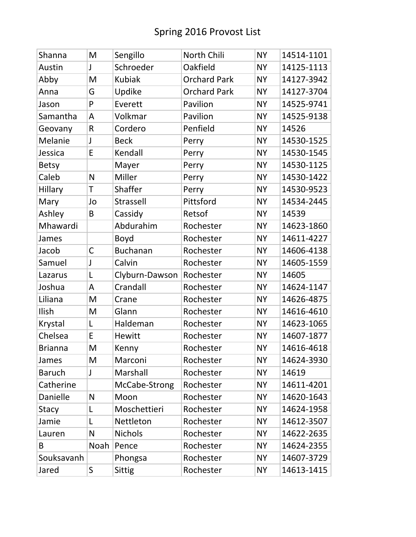| Shanna         | M    | Sengillo        | North Chili         | <b>NY</b> | 14514-1101 |
|----------------|------|-----------------|---------------------|-----------|------------|
| Austin         | J    | Schroeder       | Oakfield            | <b>NY</b> | 14125-1113 |
| Abby           | M    | <b>Kubiak</b>   | <b>Orchard Park</b> | <b>NY</b> | 14127-3942 |
| Anna           | G    | Updike          | <b>Orchard Park</b> | <b>NY</b> | 14127-3704 |
| Jason          | P    | Everett         | Pavilion            | <b>NY</b> | 14525-9741 |
| Samantha       | A    | Volkmar         | Pavilion            | <b>NY</b> | 14525-9138 |
| Geovany        | R    | Cordero         | Penfield            | <b>NY</b> | 14526      |
| Melanie        | J    | <b>Beck</b>     | Perry               | <b>NY</b> | 14530-1525 |
| Jessica        | E    | Kendall         | Perry               | <b>NY</b> | 14530-1545 |
| <b>Betsy</b>   |      | Mayer           | Perry               | <b>NY</b> | 14530-1125 |
| Caleb          | N    | Miller          | Perry               | <b>NY</b> | 14530-1422 |
| Hillary        | T    | Shaffer         | Perry               | <b>NY</b> | 14530-9523 |
| Mary           | Jo   | Strassell       | Pittsford           | <b>NY</b> | 14534-2445 |
| Ashley         | B    | Cassidy         | Retsof              | <b>NY</b> | 14539      |
| Mhawardi       |      | Abdurahim       | Rochester           | <b>NY</b> | 14623-1860 |
| James          |      | <b>Boyd</b>     | Rochester           | <b>NY</b> | 14611-4227 |
| Jacob          | C    | <b>Buchanan</b> | Rochester           | <b>NY</b> | 14606-4138 |
| Samuel         | J    | Calvin          | Rochester           | <b>NY</b> | 14605-1559 |
| Lazarus        | L    | Clyburn-Dawson  | Rochester           | <b>NY</b> | 14605      |
| Joshua         | A    | Crandall        | Rochester           | <b>NY</b> | 14624-1147 |
| Liliana        | M    | Crane           | Rochester           | <b>NY</b> | 14626-4875 |
| Ilish          | M    | Glann           | Rochester           | <b>NY</b> | 14616-4610 |
| Krystal        | L    | Haldeman        | Rochester           | <b>NY</b> | 14623-1065 |
| Chelsea        | E    | <b>Hewitt</b>   | Rochester           | <b>NY</b> | 14607-1877 |
| <b>Brianna</b> | M    | Kenny           | Rochester           | <b>NY</b> | 14616-4618 |
| James          | M    | Marconi         | Rochester           | <b>NY</b> | 14624-3930 |
| <b>Baruch</b>  | J    | Marshall        | Rochester           | <b>NY</b> | 14619      |
| Catherine      |      | McCabe-Strong   | Rochester           | <b>NY</b> | 14611-4201 |
| Danielle       | N    | Moon            | Rochester           | <b>NY</b> | 14620-1643 |
| <b>Stacy</b>   | L    | Moschettieri    | Rochester           | <b>NY</b> | 14624-1958 |
| Jamie          | L    | Nettleton       | Rochester           | <b>NY</b> | 14612-3507 |
| Lauren         | N    | <b>Nichols</b>  | Rochester           | <b>NY</b> | 14622-2635 |
| B              | Noah | Pence           | Rochester           | <b>NY</b> | 14624-2355 |
| Souksavanh     |      | Phongsa         | Rochester           | <b>NY</b> | 14607-3729 |
| Jared          | S    | <b>Sittig</b>   | Rochester           | <b>NY</b> | 14613-1415 |